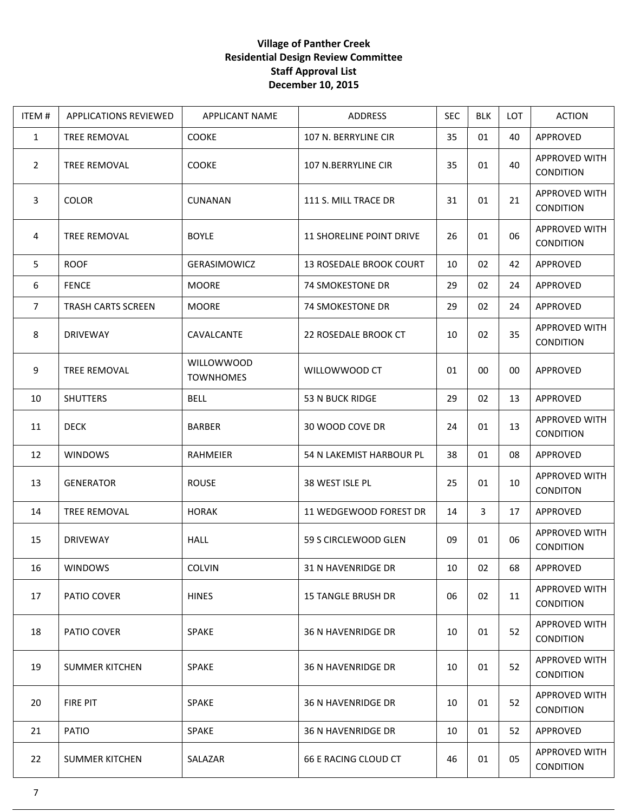## **Village of Panther Creek Residential Design Review Committee Staff Approval List December 10, 2015**

| ITEM#          | <b>APPLICATIONS REVIEWED</b> | APPLICANT NAME                        | ADDRESS                         | <b>SEC</b> | <b>BLK</b> | LOT | <b>ACTION</b>                            |
|----------------|------------------------------|---------------------------------------|---------------------------------|------------|------------|-----|------------------------------------------|
| $\mathbf{1}$   | TREE REMOVAL                 | COOKE                                 | 107 N. BERRYLINE CIR            | 35         | 01         | 40  | APPROVED                                 |
| 2              | TREE REMOVAL                 | <b>COOKE</b>                          | 107 N.BERRYLINE CIR             | 35         | 01         | 40  | <b>APPROVED WITH</b><br>CONDITION        |
| 3              | <b>COLOR</b>                 | <b>CUNANAN</b>                        | 111 S. MILL TRACE DR            | 31         | 01         | 21  | APPROVED WITH<br><b>CONDITION</b>        |
| 4              | <b>TREE REMOVAL</b>          | <b>BOYLE</b>                          | <b>11 SHORELINE POINT DRIVE</b> | 26         | 01         | 06  | APPROVED WITH<br><b>CONDITION</b>        |
| 5              | <b>ROOF</b>                  | GERASIMOWICZ                          | 13 ROSEDALE BROOK COURT         | 10         | 02         | 42  | APPROVED                                 |
| 6              | <b>FENCE</b>                 | <b>MOORE</b>                          | 74 SMOKESTONE DR                | 29         | 02         | 24  | APPROVED                                 |
| $\overline{7}$ | <b>TRASH CARTS SCREEN</b>    | <b>MOORE</b>                          | 74 SMOKESTONE DR                | 29         | 02         | 24  | APPROVED                                 |
| 8              | <b>DRIVEWAY</b>              | CAVALCANTE                            | 22 ROSEDALE BROOK CT            | 10         | 02         | 35  | APPROVED WITH<br><b>CONDITION</b>        |
| 9              | TREE REMOVAL                 | <b>WILLOWWOOD</b><br><b>TOWNHOMES</b> | WILLOWWOOD CT                   | 01         | 00         | 00  | APPROVED                                 |
| 10             | <b>SHUTTERS</b>              | <b>BELL</b>                           | 53 N BUCK RIDGE                 | 29         | 02         | 13  | APPROVED                                 |
| 11             | <b>DECK</b>                  | <b>BARBER</b>                         | 30 WOOD COVE DR                 | 24         | 01         | 13  | APPROVED WITH<br>CONDITION               |
| 12             | <b>WINDOWS</b>               | RAHMEIER                              | 54 N LAKEMIST HARBOUR PL        | 38         | 01         | 08  | APPROVED                                 |
| 13             | <b>GENERATOR</b>             | <b>ROUSE</b>                          | 38 WEST ISLE PL                 | 25         | 01         | 10  | APPROVED WITH<br><b>CONDITON</b>         |
| 14             | <b>TREE REMOVAL</b>          | <b>HORAK</b>                          | 11 WEDGEWOOD FOREST DR          | 14         | 3          | 17  | APPROVED                                 |
| 15             | <b>DRIVEWAY</b>              | <b>HALL</b>                           | 59 S CIRCLEWOOD GLEN            | 09         | 01         | 06  | APPROVED WITH<br>CONDITION               |
| 16             | <b>WINDOWS</b>               | COLVIN                                | 31 N HAVENRIDGE DR              | 10         | 02         | 68  | APPROVED                                 |
| 17             | PATIO COVER                  | <b>HINES</b>                          | <b>15 TANGLE BRUSH DR</b>       | 06         | 02         | 11  | <b>APPROVED WITH</b><br><b>CONDITION</b> |
| 18             | PATIO COVER                  | <b>SPAKE</b>                          | <b>36 N HAVENRIDGE DR</b>       | 10         | 01         | 52  | APPROVED WITH<br><b>CONDITION</b>        |
| 19             | <b>SUMMER KITCHEN</b>        | <b>SPAKE</b>                          | <b>36 N HAVENRIDGE DR</b>       | 10         | 01         | 52  | APPROVED WITH<br><b>CONDITION</b>        |
| 20             | <b>FIRE PIT</b>              | <b>SPAKE</b>                          | 36 N HAVENRIDGE DR              | 10         | 01         | 52  | APPROVED WITH<br><b>CONDITION</b>        |
| 21             | PATIO                        | <b>SPAKE</b>                          | <b>36 N HAVENRIDGE DR</b>       | 10         | 01         | 52  | APPROVED                                 |
| 22             | <b>SUMMER KITCHEN</b>        | SALAZAR                               | 66 E RACING CLOUD CT            | 46         | 01         | 05  | <b>APPROVED WITH</b><br><b>CONDITION</b> |